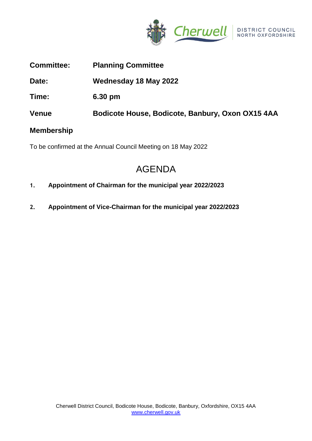

**Committee: Planning Committee**

**Date: Wednesday 18 May 2022**

**Time: 6.30 pm**

**Venue Bodicote House, Bodicote, Banbury, Oxon OX15 4AA**

## **Membership**

To be confirmed at the Annual Council Meeting on 18 May 2022

# AGENDA

- **1. Appointment of Chairman for the municipal year 2022/2023**
- **2. Appointment of Vice-Chairman for the municipal year 2022/2023**